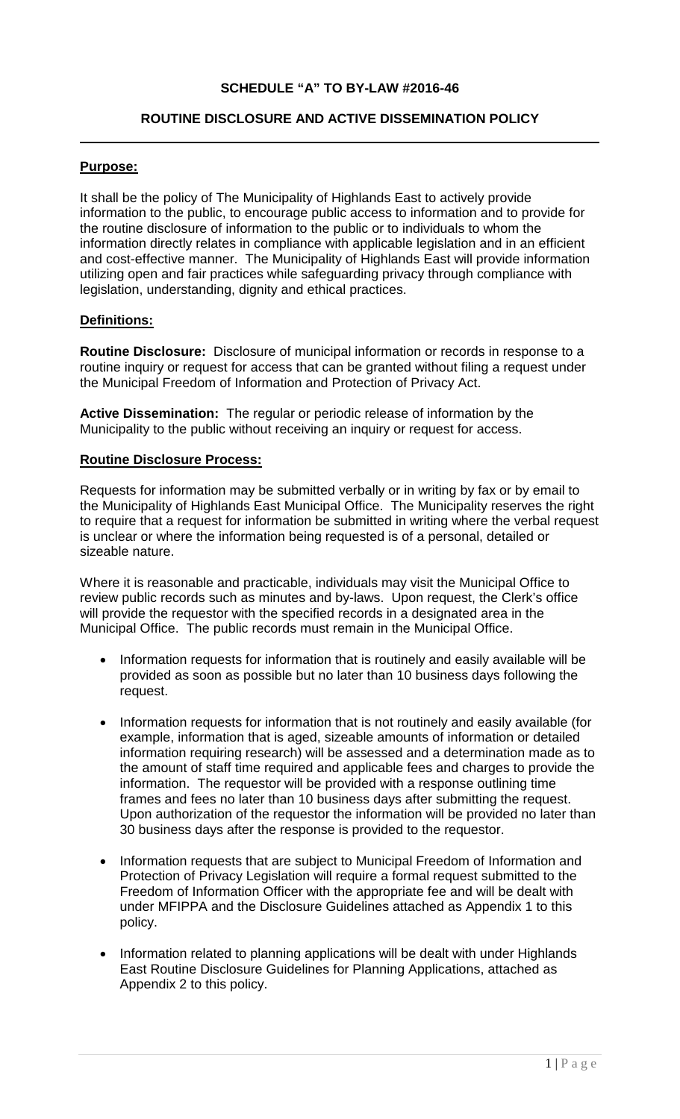# **SCHEDULE "A" TO BY-LAW #2016-46**

# **ROUTINE DISCLOSURE AND ACTIVE DISSEMINATION POLICY**

### **Purpose:**

It shall be the policy of The Municipality of Highlands East to actively provide information to the public, to encourage public access to information and to provide for the routine disclosure of information to the public or to individuals to whom the information directly relates in compliance with applicable legislation and in an efficient and cost-effective manner. The Municipality of Highlands East will provide information utilizing open and fair practices while safeguarding privacy through compliance with legislation, understanding, dignity and ethical practices.

#### **Definitions:**

**Routine Disclosure:** Disclosure of municipal information or records in response to a routine inquiry or request for access that can be granted without filing a request under the Municipal Freedom of Information and Protection of Privacy Act.

**Active Dissemination:** The regular or periodic release of information by the Municipality to the public without receiving an inquiry or request for access.

#### **Routine Disclosure Process:**

Requests for information may be submitted verbally or in writing by fax or by email to the Municipality of Highlands East Municipal Office. The Municipality reserves the right to require that a request for information be submitted in writing where the verbal request is unclear or where the information being requested is of a personal, detailed or sizeable nature.

Where it is reasonable and practicable, individuals may visit the Municipal Office to review public records such as minutes and by-laws. Upon request, the Clerk's office will provide the requestor with the specified records in a designated area in the Municipal Office. The public records must remain in the Municipal Office.

- Information requests for information that is routinely and easily available will be provided as soon as possible but no later than 10 business days following the request.
- Information requests for information that is not routinely and easily available (for example, information that is aged, sizeable amounts of information or detailed information requiring research) will be assessed and a determination made as to the amount of staff time required and applicable fees and charges to provide the information. The requestor will be provided with a response outlining time frames and fees no later than 10 business days after submitting the request. Upon authorization of the requestor the information will be provided no later than 30 business days after the response is provided to the requestor.
- Information requests that are subject to Municipal Freedom of Information and Protection of Privacy Legislation will require a formal request submitted to the Freedom of Information Officer with the appropriate fee and will be dealt with under MFIPPA and the Disclosure Guidelines attached as Appendix 1 to this policy.
- Information related to planning applications will be dealt with under Highlands East Routine Disclosure Guidelines for Planning Applications, attached as Appendix 2 to this policy.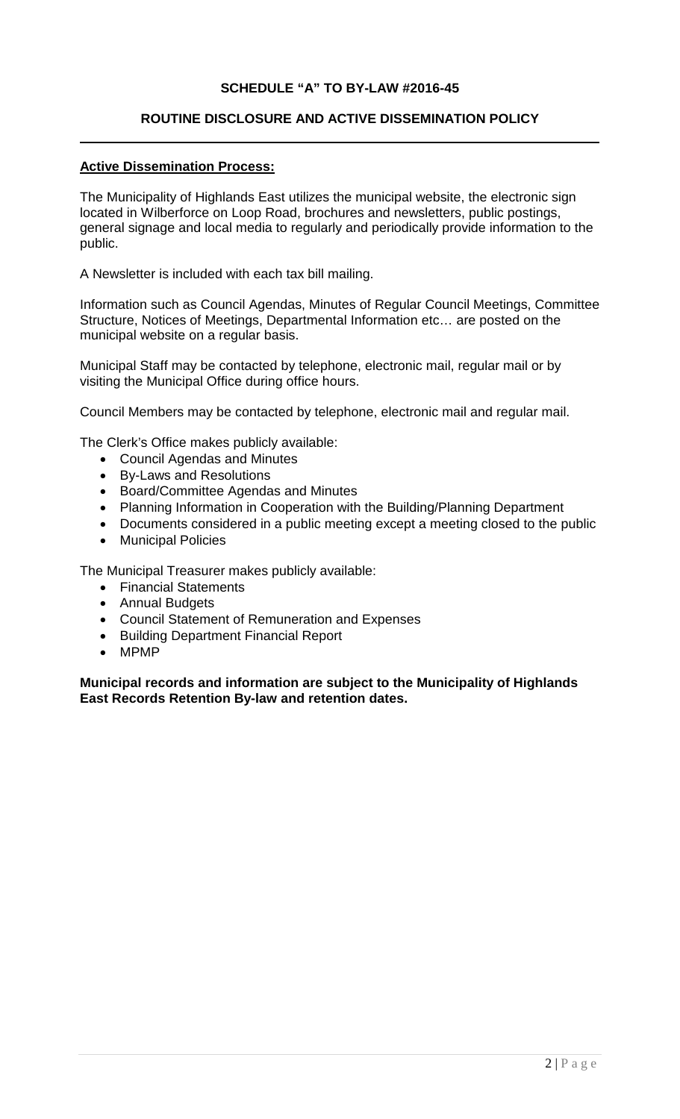# **SCHEDULE "A" TO BY-LAW #2016-45**

# **ROUTINE DISCLOSURE AND ACTIVE DISSEMINATION POLICY**

# **Active Dissemination Process:**

The Municipality of Highlands East utilizes the municipal website, the electronic sign located in Wilberforce on Loop Road, brochures and newsletters, public postings, general signage and local media to regularly and periodically provide information to the public.

A Newsletter is included with each tax bill mailing.

Information such as Council Agendas, Minutes of Regular Council Meetings, Committee Structure, Notices of Meetings, Departmental Information etc… are posted on the municipal website on a regular basis.

Municipal Staff may be contacted by telephone, electronic mail, regular mail or by visiting the Municipal Office during office hours.

Council Members may be contacted by telephone, electronic mail and regular mail.

The Clerk's Office makes publicly available:

- Council Agendas and Minutes
- By-Laws and Resolutions
- Board/Committee Agendas and Minutes
- Planning Information in Cooperation with the Building/Planning Department
- Documents considered in a public meeting except a meeting closed to the public
- Municipal Policies

The Municipal Treasurer makes publicly available:

- Financial Statements
- Annual Budgets
- Council Statement of Remuneration and Expenses
- Building Department Financial Report
- MPMP

**Municipal records and information are subject to the Municipality of Highlands East Records Retention By-law and retention dates.**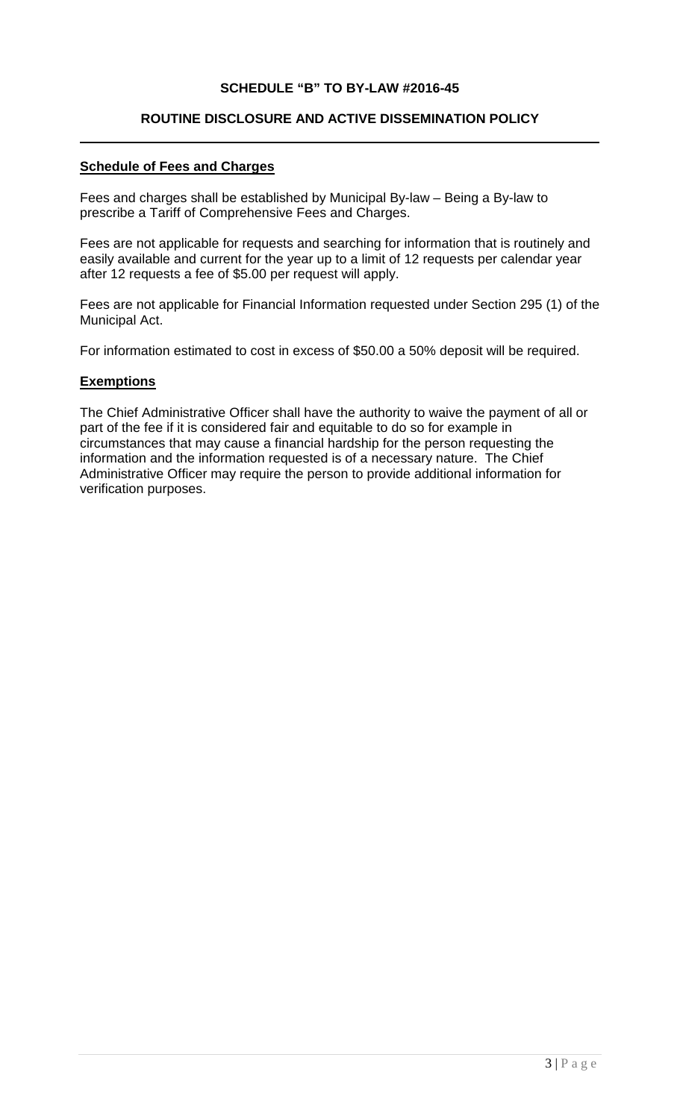# **SCHEDULE "B" TO BY-LAW #2016-45**

#### **ROUTINE DISCLOSURE AND ACTIVE DISSEMINATION POLICY**

# **Schedule of Fees and Charges**

Fees and charges shall be established by Municipal By-law – Being a By-law to prescribe a Tariff of Comprehensive Fees and Charges.

Fees are not applicable for requests and searching for information that is routinely and easily available and current for the year up to a limit of 12 requests per calendar year after 12 requests a fee of \$5.00 per request will apply.

Fees are not applicable for Financial Information requested under Section 295 (1) of the Municipal Act.

For information estimated to cost in excess of \$50.00 a 50% deposit will be required.

#### **Exemptions**

The Chief Administrative Officer shall have the authority to waive the payment of all or part of the fee if it is considered fair and equitable to do so for example in circumstances that may cause a financial hardship for the person requesting the information and the information requested is of a necessary nature. The Chief Administrative Officer may require the person to provide additional information for verification purposes.